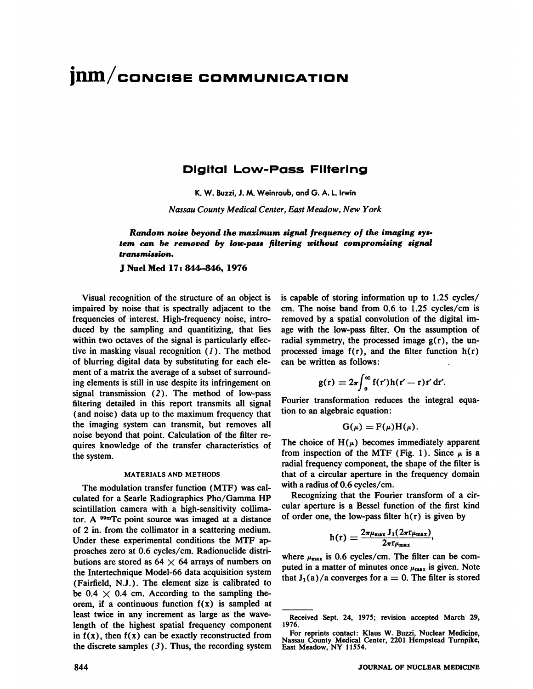# **jrun/coNcisE COMMUNICATION**

## **Digital Low-Pass Filtering**

**K.W. Buzzi,J.M.Weinraub,and0. A. 1.Irwin**

*Nassau County Medical Center, East Meadow, New York*

*Random noise beyond the maximum signal frequency of the imaging sys. tern can be removed by low.pass filtering without compromising signal transmission.*

JNuclMed 17:844-846, 1976

Visual recognition of the Structure of an object is impaired by noise that is spectrally adjacent to the frequencies of interest. High-frequency noise, intro duced by the sampling and quantitizing, that lies within two octaves of the signal is particularly effec tive in masking visual recognition  $(1)$ . The method of blurring digital data by substituting for each ele ment of a matrix the average of a subset of surround ing elements is still in use despite its infringement on signal transmission (2). The method of low-pass filtering detailed in this report transmits all signal (and noise) data up to the maximum frequency that the imaging system can transmit, but removes all noise beyond that point. Calculation of the filter re quires knowledge of the transfer characteristics of the system.

#### **MATERIALS AND METHODS**

The modulation transfer function (MTF) was cal culated for a Searle Radiographics Pho/Gamma HP scintillation camera with a high-sensitivity collima tor. A  $^{99m}$ Tc point source was imaged at a distance of 2 in. from the collimator in a scattering medium. Under these experimental conditions the MTF approaches zero at 0.6 cycles/cm. Radionuclide distri butions are stored as  $64 \times 64$  arrays of numbers on the Intertechnique Model-66 data acquisition system (Fairfield, N.J.). The element size is calibrated to be 0.4  $\times$  0.4 cm. According to the sampling theorem, if a continuous function  $f(x)$  is sampled at least twice in any increment as large as the wave length of the highest spatial frequency component in  $f(x)$ , then  $f(x)$  can be exactly reconstructed from the discrete samples  $(3)$ . Thus, the recording system is capable of storing information up to  $1.25$  cycles/ cm. The noise band from 0.6 to 1.25 cycles/cm is removed by a spatial convolution of the digital im age with the low-pass filter. On the assumption of radial symmetry, the processed image  $g(r)$ , the unprocessed image  $f(r)$ , and the filter function  $h(r)$ can be written as follows:

$$
g(r) = 2\pi \int_0^\infty f(r')h(r'-r)r' dr'.
$$

Fourier transformation reduces the integral equa tion to an algebraic equation:

$$
G(\mu) = F(\mu)H(\mu).
$$

The choice of  $H(\mu)$  becomes immediately apparent from inspection of the MTF (Fig. 1). Since  $\mu$  is a radial frequency component, the shape of the filter is that of a circular aperture in the frequency domain with a radius of 0.6 cycles/cm.

Recognizing that the Fourier transform of a cir cular aperture is a Bessel function of the first kind of order one, the low-pass filter  $h(r)$  is given by

$$
h(r) = \frac{2\pi\mu_{\max} J_1(2\pi r_{\mu_{\max}})}{2\pi r_{\mu_{\max}}},
$$

where  $\mu_{\text{max}}$  is 0.6 cycles/cm. The filter can be computed in a matter of minutes once  $\mu_{\text{max}}$  is given. Note that  $J_1(a)/a$  converges for  $a = 0$ . The filter is stored

Received Sept. 24, 1975; revision accepted March 29, 1976.

For reprints contact: Klaus W. Buzzi, Nuclear Medicine, Nassau County Medical Center, <sup>2201</sup> Hempstead Turnpike, East Meadow, NY 11554.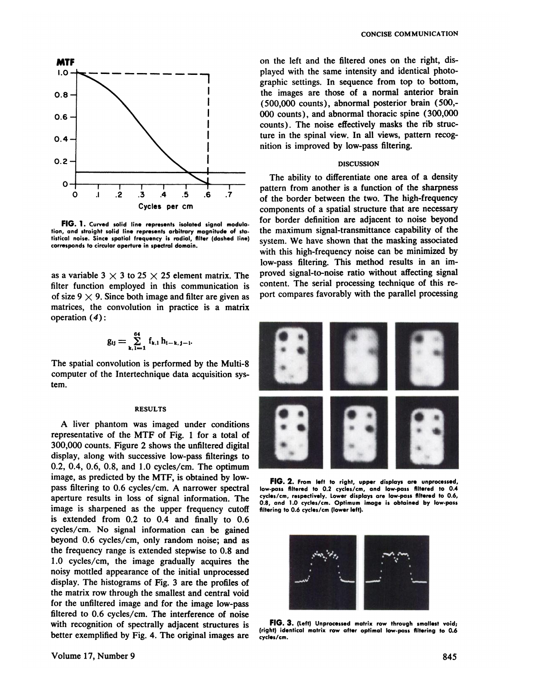

FIG. 1. Curved solid line represents isolated signal modulation, and straight solid line represents arbitrary magnitude of sta**tistical noise. Since spatial frequency is radial, filter (dashed line) corresponds to circular aperture in spectral domain.**

as a variable 3  $\times$  3 to 25  $\times$  25 element matrix. The filter function employed in this communication is of size 9  $\times$  9. Since both image and filter are given as matrices, the convolution in practice is a matrix operation (4):

$$
g_{ij} = \sum_{k, l = 1}^{64} f_{k, l} h_{i-k, j-l}.
$$

The spatial convolution is performed by the Multi-8 computer of the Intertechnique data acquisition sys tem.

#### **RESULTS**

A liver phantom was imaged under conditions representative of the MTF of Fig. 1 for a total of 300,000 counts. Figure 2 shows the unfiltered digital display, along with successive low-pass filterings to 0.2, 0.4, 0.6, 0.8, and 1.0 cycles/cm. The optimum image, as predicted by the MTF, is obtained by low pass filtering to 0.6 cycles/cm. A narrower spectral aperture results in loss of signal information. The image is sharpened as the upper frequency cutoff is extended from 0.2 to 0.4 and finally to 0.6 cycles/cm. No signal information can be gained beyond 0.6 cycles/cm, only random noise; and as the frequency range is extended stepwise to 0.8 and 1.0 cycles/cm, the image gradually acquires the noisy mottled appearance of the initial unprocessed display. The histograms of Fig. 3 are the profiles of the matrix row through the smallest and central void for the unfiltered image and for the image low-pass filtered to 0.6 cycles/cm. The interference of noise with recognition of spectrally adjacent structures is better exemplified by Fig. 4. The original images are

on the left and the filtered ones on the right, dis played with the same intensity and identical photo graphic settings. In sequence from top to bottom, the images are those of a normal anterior brain (500,000 counts), abnormal posterior brain (500,- 000 counts) , and abnormal thoracic spine (300,000 counts). The noise effectively masks the rib structure in the spinal view. In all views, pattern recog nition is improved by low-pass filtering.

### **DISCUSSION**

The ability to differentiate one area of a density pattern from another is a function of the sharpness of the border between the two. The high-frequency components of a spatial structure that are necessary for border definition are adjacent to noise beyond the maximum signal-transmittance capability of the system. We have shown that the masking associated with this high-frequency noise can be minimized by low-pass filtering. This method results in an im proved signal-to-noise ratio without affecting signal content. The serial processing technique of this re port compares favorably with the parallel processing



**FIG.2. Fromleftto right,upperdisplaysare unprocessed, low-pass filtered to 0.2 cycles/cm, and low-pass filtered to 0.4 cycles/cm,respectively. Lower displays are low-passfllt.red to 0.6, 0.8, and 1.0 cycles/cm. Optimum image is obtained by low-pass fIltering to 0.6 cycles/cm (lower left).**



FIG. 3. (Left) Unprocessed matrix row through smallest void; **(right) identical matrix row after optimal low.pass filt.ring to 0.6 cycles/cm.**